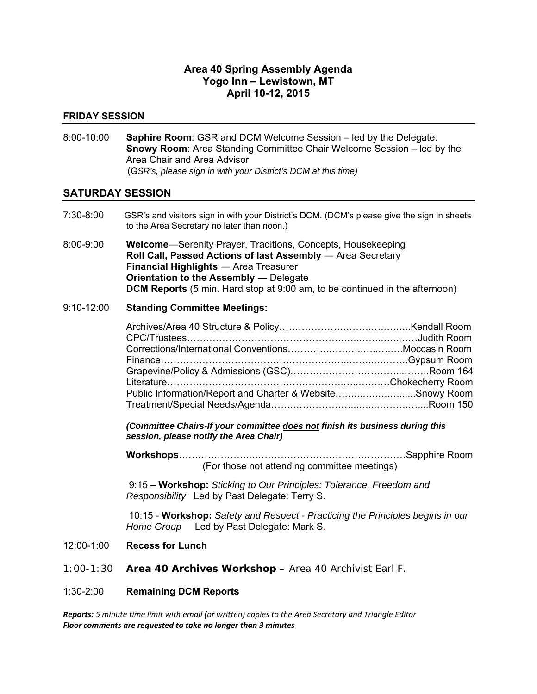#### **Area 40 Spring Assembly Agenda Yogo Inn – Lewistown, MT April 10-12, 2015**

#### **FRIDAY SESSION**

8:00-10:00 **Saphire Room**: GSR and DCM Welcome Session – led by the Delegate. **Snowy Room**: Area Standing Committee Chair Welcome Session – led by the Area Chair and Area Advisor (G*SR's, please sign in with your District's DCM at this time)*

#### **SATURDAY SESSION**

- 7:30-8:00 GSR's and visitors sign in with your District's DCM. (DCM's please give the sign in sheets to the Area Secretary no later than noon.)
- 8:00-9:00 **Welcome**―Serenity Prayer, Traditions, Concepts, Housekeeping **Roll Call, Passed Actions of last Assembly — Area Secretary Financial Highlights** ― Area Treasurer **Orientation to the Assembly** ― Delegate **DCM Reports** (5 min. Hard stop at 9:00 am, to be continued in the afternoon)

#### 9:10-12:00 **Standing Committee Meetings:**

| Public Information/Report and Charter & WebsiteSnowy Room |  |
|-----------------------------------------------------------|--|
|                                                           |  |

*(Committee Chairs-If your committee does not finish its business during this session, please notify the Area Chair)* 

**Workshops**…………………..…………………………………………Sapphire Room (For those not attending committee meetings)

 9:15 – **Workshop:** *Sticking to Our Principles: Tolerance, Freedom and Responsibility* Led by Past Delegate: Terry S.

 10:15 - **Workshop:** *Safety and Respect - Practicing the Principles begins in our Home Group* Led by Past Delegate: Mark S.

- 12:00-1:00 **Recess for Lunch**
- 1:00-1:30 **Area 40 Archives Workshop**  Area 40 Archivist Earl F.

#### 1:30-2:00 **Remaining DCM Reports**

*Reports: 5 minute time limit with email (or written) copies to the Area Secretary and Triangle Editor Floor comments are requested to take no longer than 3 minutes*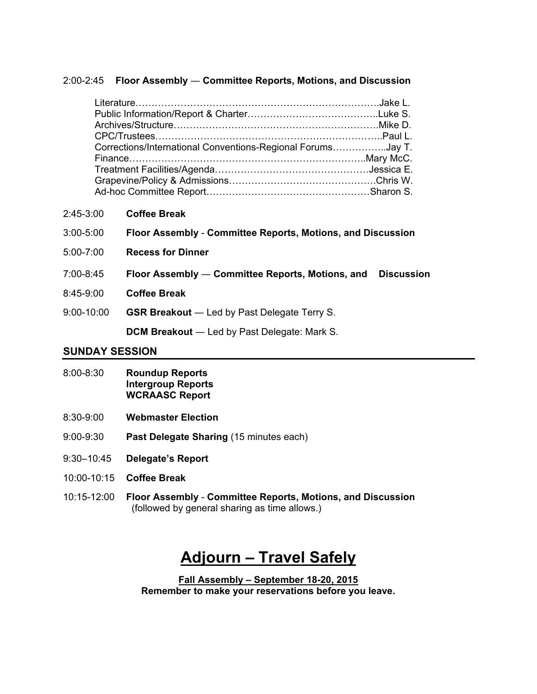#### 2:00-2:45 **Floor Assembly** ― **Committee Reports, Motions, and Discussion**

| Corrections/International Conventions-Regional ForumsJay T. |  |
|-------------------------------------------------------------|--|
|                                                             |  |
|                                                             |  |
|                                                             |  |
|                                                             |  |

2:45-3:00 **Coffee Break**

| $3:00 - 5:00$ | Floor Assembly - Committee Reports, Motions, and Discussion |
|---------------|-------------------------------------------------------------|
|---------------|-------------------------------------------------------------|

- 5:00-7:00 **Recess for Dinner**
- 7:00-8:45 **Floor Assembly** ― **Committee Reports, Motions, and Discussion**
- 8:45-9:00 **Coffee Break**
- 9:00-10:00 **GSR Breakout** ― Led by Past Delegate Terry S.

**DCM Breakout** ― Led by Past Delegate: Mark S.

#### **SUNDAY SESSION**

- 8:00-8:30 **Roundup Reports Intergroup Reports WCRAASC Report**
- 8:30-9:00 **Webmaster Election**
- 9:00-9:30 **Past Delegate Sharing** (15 minutes each)
- 9:30–10:45 **Delegate's Report**
- 10:00-10:15 **Coffee Break**
- 10:15-12:00 **Floor Assembly Committee Reports, Motions, and Discussion**  (followed by general sharing as time allows.)

# **Adjourn – Travel Safely**

**Fall Assembly – September 18-20, 2015 Remember to make your reservations before you leave.**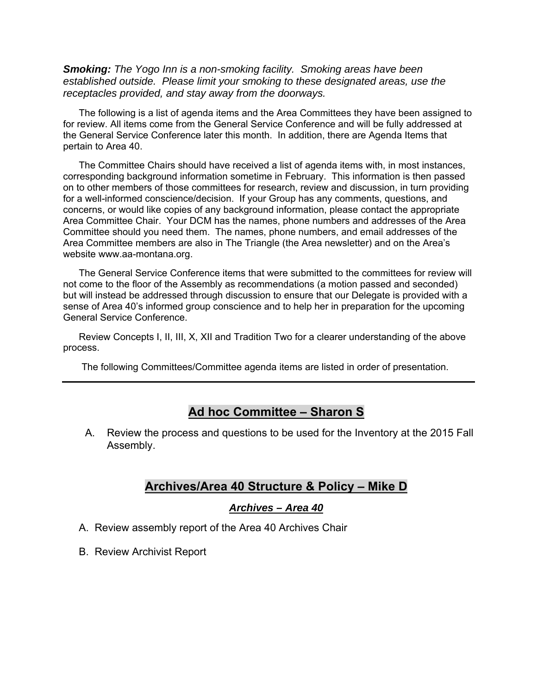*Smoking: The Yogo Inn is a non-smoking facility. Smoking areas have been established outside. Please limit your smoking to these designated areas, use the receptacles provided, and stay away from the doorways.* 

The following is a list of agenda items and the Area Committees they have been assigned to for review. All items come from the General Service Conference and will be fully addressed at the General Service Conference later this month. In addition, there are Agenda Items that pertain to Area 40.

The Committee Chairs should have received a list of agenda items with, in most instances, corresponding background information sometime in February. This information is then passed on to other members of those committees for research, review and discussion, in turn providing for a well-informed conscience/decision. If your Group has any comments, questions, and concerns, or would like copies of any background information, please contact the appropriate Area Committee Chair. Your DCM has the names, phone numbers and addresses of the Area Committee should you need them. The names, phone numbers, and email addresses of the Area Committee members are also in The Triangle (the Area newsletter) and on the Area's website www.aa-montana.org.

The General Service Conference items that were submitted to the committees for review will not come to the floor of the Assembly as recommendations (a motion passed and seconded) but will instead be addressed through discussion to ensure that our Delegate is provided with a sense of Area 40's informed group conscience and to help her in preparation for the upcoming General Service Conference.

Review Concepts I, II, III, X, XII and Tradition Two for a clearer understanding of the above process.

The following Committees/Committee agenda items are listed in order of presentation.

### **Ad hoc Committee – Sharon S**

A. Review the process and questions to be used for the Inventory at the 2015 Fall Assembly.

#### **Archives/Area 40 Structure & Policy – Mike D**

#### *Archives – Area 40*

- A. Review assembly report of the Area 40 Archives Chair
- B. Review Archivist Report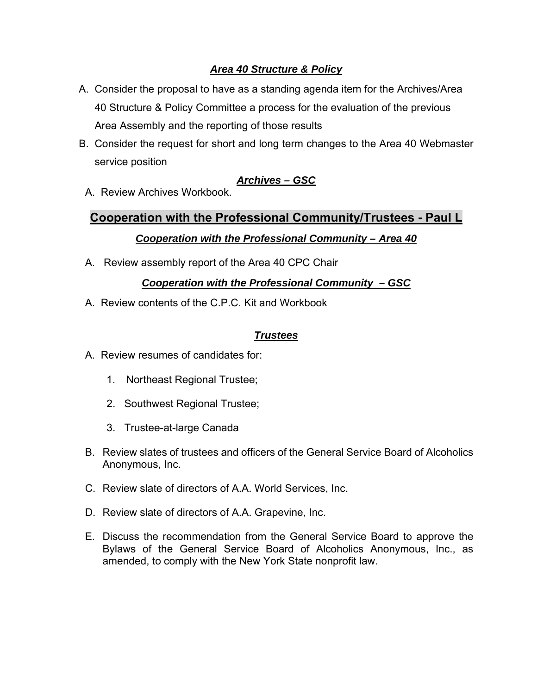### *Area 40 Structure & Policy*

- A. Consider the proposal to have as a standing agenda item for the Archives/Area 40 Structure & Policy Committee a process for the evaluation of the previous Area Assembly and the reporting of those results
- B. Consider the request for short and long term changes to the Area 40 Webmaster service position

### *Archives – GSC*

A. Review Archives Workbook.

# **Cooperation with the Professional Community/Trustees - Paul L**  *Cooperation with the Professional Community – Area 40*

A. Review assembly report of the Area 40 CPC Chair

### *Cooperation with the Professional Community – GSC*

A. Review contents of the C.P.C. Kit and Workbook

#### *Trustees*

- A. Review resumes of candidates for:
	- 1. Northeast Regional Trustee;
	- 2. Southwest Regional Trustee;
	- 3. Trustee-at-large Canada
- B. Review slates of trustees and officers of the General Service Board of Alcoholics Anonymous, Inc.
- C. Review slate of directors of A.A. World Services, Inc.
- D. Review slate of directors of A.A. Grapevine, Inc.
- E. Discuss the recommendation from the General Service Board to approve the Bylaws of the General Service Board of Alcoholics Anonymous, Inc., as amended, to comply with the New York State nonprofit law.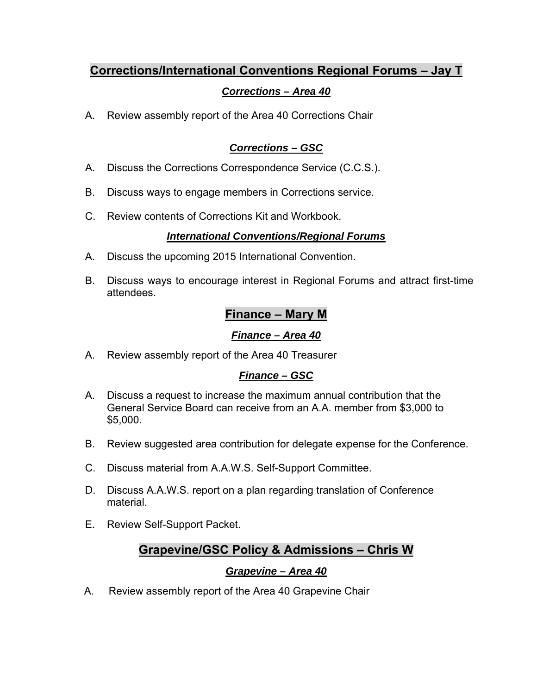# **Corrections/International Conventions Regional Forums – Jay T**

# *Corrections – Area 40*

A. Review assembly report of the Area 40 Corrections Chair

# *Corrections – GSC*

- A. Discuss the Corrections Correspondence Service (C.C.S.).
- B. Discuss ways to engage members in Corrections service.
- C. Review contents of Corrections Kit and Workbook.

### *International Conventions/Regional Forums*

- A. Discuss the upcoming 2015 International Convention.
- B. Discuss ways to encourage interest in Regional Forums and attract first-time attendees.

# **Finance – Mary M**

# *Finance – Area 40*

A. Review assembly report of the Area 40 Treasurer

# *Finance – GSC*

- A. Discuss a request to increase the maximum annual contribution that the General Service Board can receive from an A.A. member from \$3,000 to \$5,000.
- B. Review suggested area contribution for delegate expense for the Conference.
- C. Discuss material from A.A.W.S. Self-Support Committee.
- D. Discuss A.A.W.S. report on a plan regarding translation of Conference material.
- E. Review Self-Support Packet.

# **Grapevine/GSC Policy & Admissions – Chris W**

# *Grapevine – Area 40*

A. Review assembly report of the Area 40 Grapevine Chair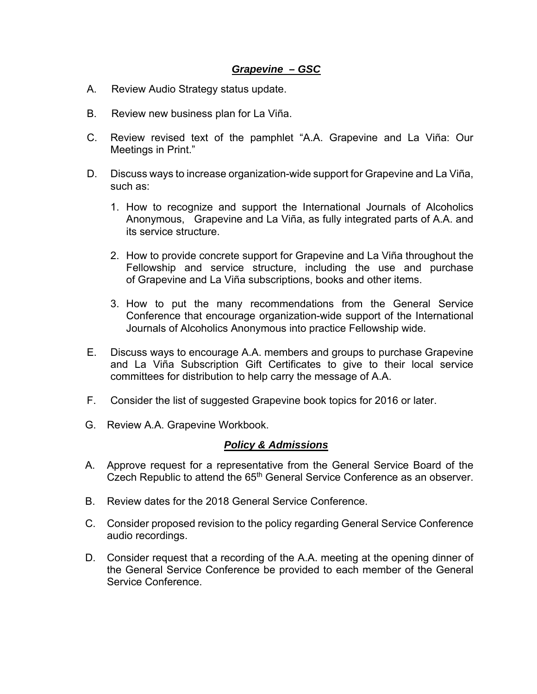#### *Grapevine – GSC*

- A. Review Audio Strategy status update.
- B. Review new business plan for La Viña.
- C. Review revised text of the pamphlet "A.A. Grapevine and La Viña: Our Meetings in Print."
- D. Discuss ways to increase organization-wide support for Grapevine and La Viña, such as:
	- 1. How to recognize and support the International Journals of Alcoholics Anonymous, Grapevine and La Viña, as fully integrated parts of A.A. and its service structure.
	- 2. How to provide concrete support for Grapevine and La Viña throughout the Fellowship and service structure, including the use and purchase of Grapevine and La Viña subscriptions, books and other items.
	- 3. How to put the many recommendations from the General Service Conference that encourage organization-wide support of the International Journals of Alcoholics Anonymous into practice Fellowship wide.
- E. Discuss ways to encourage A.A. members and groups to purchase Grapevine and La Viña Subscription Gift Certificates to give to their local service committees for distribution to help carry the message of A.A.
- F. Consider the list of suggested Grapevine book topics for 2016 or later.
- G. Review A.A. Grapevine Workbook.

#### *Policy & Admissions*

- A. Approve request for a representative from the General Service Board of the Czech Republic to attend the 65<sup>th</sup> General Service Conference as an observer.
- B. Review dates for the 2018 General Service Conference.
- C. Consider proposed revision to the policy regarding General Service Conference audio recordings.
- D. Consider request that a recording of the A.A. meeting at the opening dinner of the General Service Conference be provided to each member of the General Service Conference.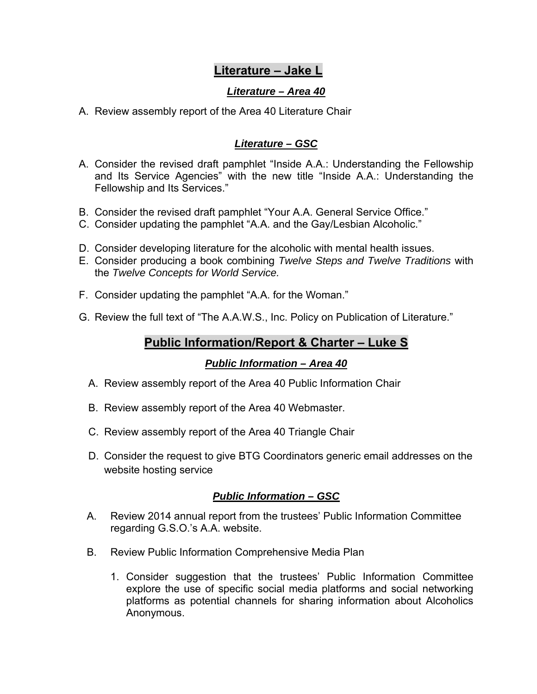# **Literature – Jake L**

### *Literature – Area 40*

A. Review assembly report of the Area 40 Literature Chair

### *Literature – GSC*

- A. Consider the revised draft pamphlet "Inside A.A.: Understanding the Fellowship and Its Service Agencies" with the new title "Inside A.A.: Understanding the Fellowship and Its Services."
- B. Consider the revised draft pamphlet "Your A.A. General Service Office."
- C. Consider updating the pamphlet "A.A. and the Gay/Lesbian Alcoholic."
- D. Consider developing literature for the alcoholic with mental health issues.
- E. Consider producing a book combining *Twelve Steps and Twelve Traditions* with the *Twelve Concepts for World Service.*
- F. Consider updating the pamphlet "A.A. for the Woman."
- G. Review the full text of "The A.A.W.S., Inc. Policy on Publication of Literature."

# **Public Information/Report & Charter – Luke S**

### *Public Information – Area 40*

- A. Review assembly report of the Area 40 Public Information Chair
- B. Review assembly report of the Area 40 Webmaster.
- C. Review assembly report of the Area 40 Triangle Chair
- D. Consider the request to give BTG Coordinators generic email addresses on the website hosting service

### *Public Information – GSC*

- A. Review 2014 annual report from the trustees' Public Information Committee regarding G.S.O.'s A.A. website.
- B. Review Public Information Comprehensive Media Plan
	- 1. Consider suggestion that the trustees' Public Information Committee explore the use of specific social media platforms and social networking platforms as potential channels for sharing information about Alcoholics Anonymous.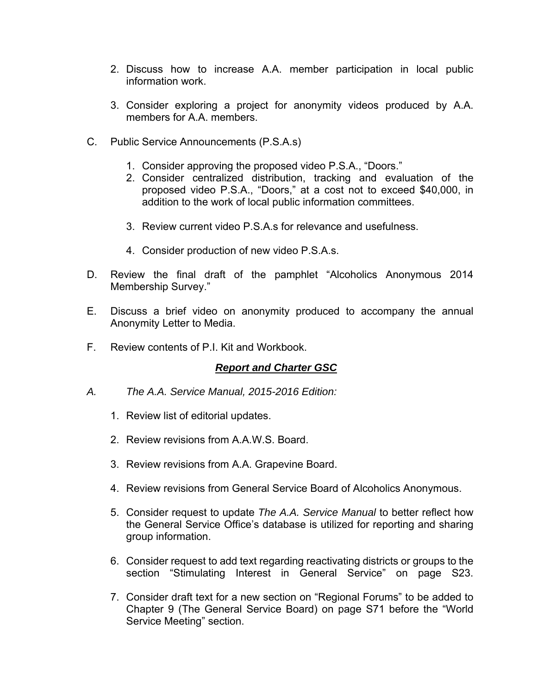- 2. Discuss how to increase A.A. member participation in local public information work.
- 3. Consider exploring a project for anonymity videos produced by A.A. members for A A. members.
- C. Public Service Announcements (P.S.A.s)
	- 1. Consider approving the proposed video P.S.A., "Doors."
	- 2. Consider centralized distribution, tracking and evaluation of the proposed video P.S.A., "Doors," at a cost not to exceed \$40,000, in addition to the work of local public information committees.
	- 3. Review current video P.S.A.s for relevance and usefulness.
	- 4. Consider production of new video P.S.A.s.
- D. Review the final draft of the pamphlet "Alcoholics Anonymous 2014 Membership Survey."
- E. Discuss a brief video on anonymity produced to accompany the annual Anonymity Letter to Media.
- F. Review contents of P.I. Kit and Workbook.

#### *Report and Charter GSC*

- *A. The A.A. Service Manual, 2015-2016 Edition:* 
	- 1. Review list of editorial updates.
	- 2. Review revisions from A.A.W.S. Board.
	- 3. Review revisions from A.A. Grapevine Board.
	- 4. Review revisions from General Service Board of Alcoholics Anonymous.
	- 5. Consider request to update *The A.A. Service Manual* to better reflect how the General Service Office's database is utilized for reporting and sharing group information.
	- 6. Consider request to add text regarding reactivating districts or groups to the section "Stimulating Interest in General Service" on page S23.
	- 7. Consider draft text for a new section on "Regional Forums" to be added to Chapter 9 (The General Service Board) on page S71 before the "World Service Meeting" section.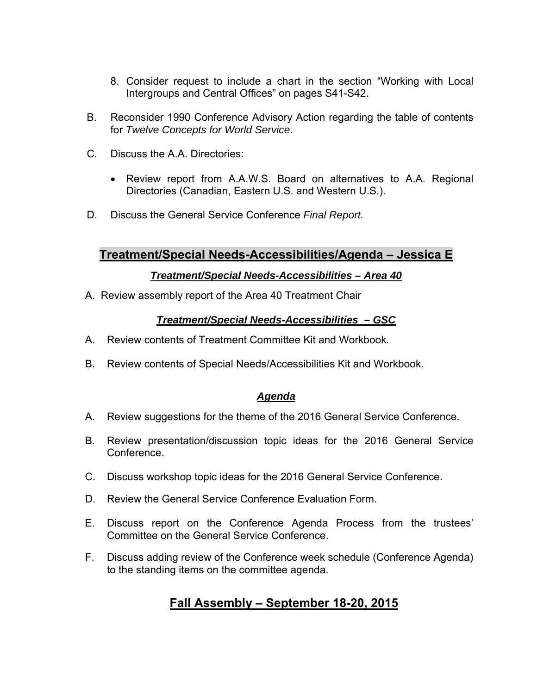- 8. Consider request to include a chart in the section "Working with Local Intergroups and Central Offices" on pages S41-S42.
- B. Reconsider 1990 Conference Advisory Action regarding the table of contents for *Twelve Concepts for World Service*.
- C. Discuss the A.A. Directories:
	- Review report from A.A.W.S. Board on alternatives to A.A. Regional Directories (Canadian, Eastern U.S. and Western U.S.).
- D. Discuss the General Service Conference *Final Report.*

# **Treatment/Special Needs-Accessibilities/Agenda – Jessica E**

#### *Treatment/Special Needs-Accessibilities – Area 40*

A. Review assembly report of the Area 40 Treatment Chair

### *Treatment/Special Needs-Accessibilities – GSC*

- A. Review contents of Treatment Committee Kit and Workbook.
- B. Review contents of Special Needs/Accessibilities Kit and Workbook.

### *Agenda*

- A. Review suggestions for the theme of the 2016 General Service Conference.
- B. Review presentation/discussion topic ideas for the 2016 General Service Conference.
- C. Discuss workshop topic ideas for the 2016 General Service Conference.
- D. Review the General Service Conference Evaluation Form.
- E. Discuss report on the Conference Agenda Process from the trustees' Committee on the General Service Conference.
- F. Discuss adding review of the Conference week schedule (Conference Agenda) to the standing items on the committee agenda.

# **Fall Assembly – September 18-20, 2015**